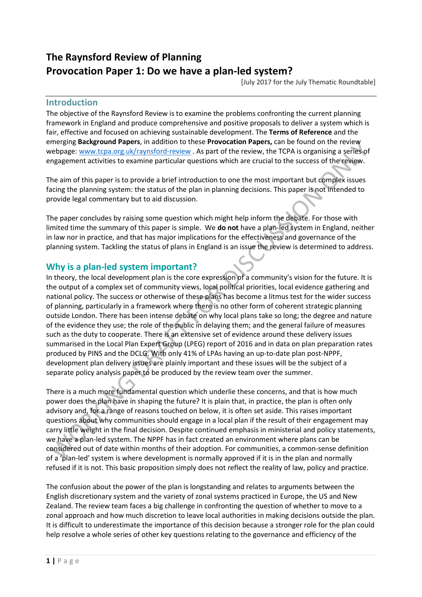# **The Raynsford Review of Planning Provocation Paper 1: Do we have a plan-led system?**

[July 2017 for the July Thematic Roundtable]

#### **Introduction**

The objective of the Raynsford Review is to examine the problems confronting the current planning framework in England and produce comprehensive and positive proposals to deliver a system which is fair, effective and focused on achieving sustainable development. The **Terms of Reference** and the emerging **Background Papers**, in addition to these **Provocation Papers,** can be found on the review webpage: [www.tcpa.org.uk/raynsford-review](http://www.tcpa.org.uk/raynsford-review) . As part of the review, the TCPA is organising a series of engagement activities to examine particular questions which are crucial to the success of the review.

The aim of this paper is to provide a brief introduction to one the most important but complex issues facing the planning system: the status of the plan in planning decisions. This paper is not intended to provide legal commentary but to aid discussion.

The paper concludes by raising some question which might help inform the debate. For those with limited time the summary of this paper is simple. We **do not** have a plan-led system in England, neither in law nor in practice, and that has major implications for the effectiveness and governance of the planning system. Tackling the status of plans in England is an issue the review is determined to address.

# **Why is a plan-led system important?**

In theory, the local development plan is the core expression of a community's vision for the future. It is the output of a complex set of community views, local political priorities, local evidence gathering and national policy. The success or otherwise of these plans has become a litmus test for the wider success of planning, particularly in a framework where there is no other form of coherent strategic planning outside London. There has been intense debate on why local plans take so long; the degree and nature of the evidence they use; the role of the public in delaying them; and the general failure of measures such as the duty to cooperate. There is an extensive set of evidence around these delivery issues summarised in the Local Plan Expert Group (LPEG) report of 2016 and in data on plan preparation rates produced by PINS and the DCLG. With only 41% of LPAs having an up-to-date plan post-NPPF, development plan delivery issues are plainly important and these issues will be the subject of a separate policy analysis paper to be produced by the review team over the summer.

There is a much more fundamental question which underlie these concerns, and that is how much power does the plan have in shaping the future? It is plain that, in practice, the plan is often only advisory and, for a range of reasons touched on below, it is often set aside. This raises important questions about why communities should engage in a local plan if the result of their engagement may carry little weight in the final decision. Despite continued emphasis in ministerial and policy statements, we have a plan-led system. The NPPF has in fact created an environment where plans can be considered out of date within months of their adoption. For communities, a common-sense definition of a 'plan-led' system is where development is normally approved if it is in the plan and normally refused if it is not. This basic proposition simply does not reflect the reality of law, policy and practice.

The confusion about the power of the plan is longstanding and relates to arguments between the English discretionary system and the variety of zonal systems practiced in Europe, the US and New Zealand. The review team faces a big challenge in confronting the question of whether to move to a zonal approach and how much discretion to leave local authorities in making decisions outside the plan. It is difficult to underestimate the importance of this decision because a stronger role for the plan could help resolve a whole series of other key questions relating to the governance and efficiency of the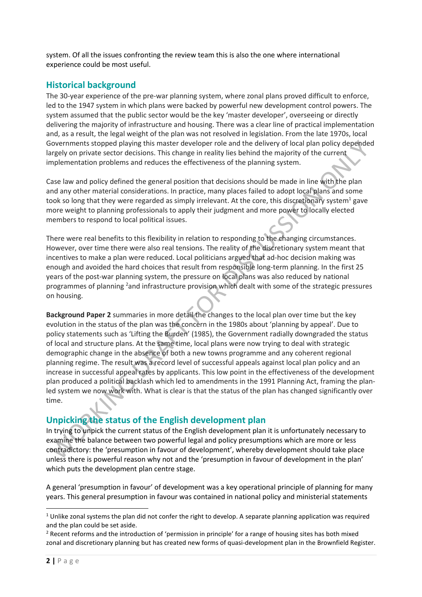system. Of all the issues confronting the review team this is also the one where international experience could be most useful.

# **Historical background**

The 30-year experience of the pre-war planning system, where zonal plans proved difficult to enforce, led to the 1947 system in which plans were backed by powerful new development control powers. The system assumed that the public sector would be the key 'master developer', overseeing or directly delivering the majority of infrastructure and housing. There was a clear line of practical implementation and, as a result, the legal weight of the plan was not resolved in legislation. From the late 1970s, local Governments stopped playing this master developer role and the delivery of local plan policy depended largely on private sector decisions. This change in reality lies behind the majority of the current implementation problems and reduces the effectiveness of the planning system.

Case law and policy defined the general position that decisions should be made in line with the plan and any other material considerations. In practice, many places failed to adopt local plans and some took so long that they were regarded as simply irrelevant. At the core, this discretionary system<sup>1</sup> gave more weight to planning professionals to apply their judgment and more power to locally elected members to respond to local political issues.

There were real benefits to this flexibility in relation to responding to the changing circumstances. However, over time there were also real tensions. The reality of the discretionary system meant that incentives to make a plan were reduced. Local politicians argued that ad-hoc decision making was enough and avoided the hard choices that result from responsible long-term planning. In the first 25 years of the post-war planning system, the pressure on local plans was also reduced by national programmes of planning <sup>2</sup>and infrastructure provision which dealt with some of the strategic pressures on housing.

**Background Paper 2** summaries in more detail the changes to the local plan over time but the key evolution in the status of the plan was the concern in the 1980s about 'planning by appeal'. Due to policy statements such as 'Lifting the Burden' (1985), the Government radially downgraded the status of local and structure plans. At the same time, local plans were now trying to deal with strategic demographic change in the absence of both a new towns programme and any coherent regional planning regime. The result was a record level of successful appeals against local plan policy and an increase in successful appeal rates by applicants. This low point in the effectiveness of the development plan produced a political backlash which led to amendments in the 1991 Planning Act, framing the planled system we now work with. What is clear is that the status of the plan has changed significantly over time.

# **Unpicking the status of the English development plan**

In trying to unpick the current status of the English development plan it is unfortunately necessary to examine the balance between two powerful legal and policy presumptions which are more or less contradictory: the 'presumption in favour of development', whereby development should take place unless there is powerful reason why not and the 'presumption in favour of development in the plan' which puts the development plan centre stage.

A general 'presumption in favour' of development was a key operational principle of planning for many years. This general presumption in favour was contained in national policy and ministerial statements

 $\ddot{\phantom{a}}$  $1$  Unlike zonal systems the plan did not confer the right to develop. A separate planning application was required and the plan could be set aside.

<sup>&</sup>lt;sup>2</sup> Recent reforms and the introduction of 'permission in principle' for a range of housing sites has both mixed zonal and discretionary planning but has created new forms of quasi-development plan in the Brownfield Register.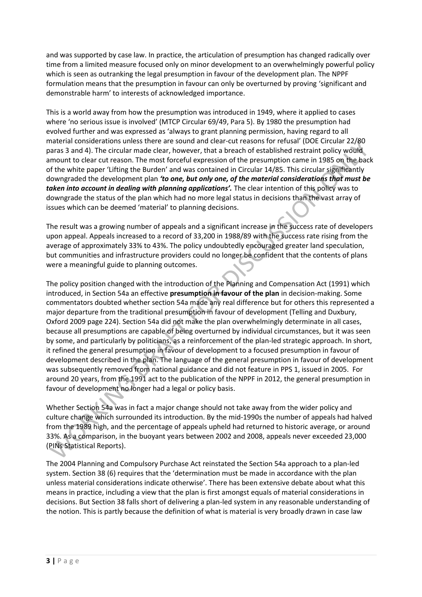and was supported by case law. In practice, the articulation of presumption has changed radically over time from a limited measure focused only on minor development to an overwhelmingly powerful policy which is seen as outranking the legal presumption in favour of the development plan. The NPPF formulation means that the presumption in favour can only be overturned by proving 'significant and demonstrable harm' to interests of acknowledged importance.

This is a world away from how the presumption was introduced in 1949, where it applied to cases where 'no serious issue is involved' (MTCP Circular 69/49, Para 5). By 1980 the presumption had evolved further and was expressed as 'always to grant planning permission, having regard to all material considerations unless there are sound and clear-cut reasons for refusal' (DOE Circular 22/80 paras 3 and 4). The circular made clear, however, that a breach of established restraint policy would amount to clear cut reason. The most forceful expression of the presumption came in 1985 on the back of the white paper 'Lifting the Burden' and was contained in Circular 14/85. This circular significantly downgraded the development plan *'to one, but only one, of the material considerations that must be taken into account in dealing with planning applications'.* The clear intention of this policy was to downgrade the status of the plan which had no more legal status in decisions than the vast array of issues which can be deemed 'material' to planning decisions.

The result was a growing number of appeals and a significant increase in the success rate of developers upon appeal. Appeals increased to a record of 33,200 in 1988/89 with the success rate rising from the average of approximately 33% to 43%. The policy undoubtedly encouraged greater land speculation, but communities and infrastructure providers could no longer be confident that the contents of plans were a meaningful guide to planning outcomes.

The policy position changed with the introduction of the Planning and Compensation Act (1991) which introduced, in Section 54a an effective **presumption in favour of the plan** in decision-making. Some commentators doubted whether section 54a made any real difference but for others this represented a major departure from the traditional presumption in favour of development (Telling and Duxbury, Oxford 2009 page 224). Section 54a did not make the plan overwhelmingly determinate in all cases, because all presumptions are capable of being overturned by individual circumstances, but it was seen by some, and particularly by politicians, as a reinforcement of the plan-led strategic approach. In short, it refined the general presumption in favour of development to a focused presumption in favour of development described in the plan. The language of the general presumption in favour of development was subsequently removed from national guidance and did not feature in PPS 1, issued in 2005. For around 20 years, from the 1991 act to the publication of the NPPF in 2012, the general presumption in favour of development no longer had a legal or policy basis.

Whether Section 54a was in fact a major change should not take away from the wider policy and culture change which surrounded its introduction. By the mid-1990s the number of appeals had halved from the 1989 high, and the percentage of appeals upheld had returned to historic average, or around 33%. As a comparison, in the buoyant years between 2002 and 2008, appeals never exceeded 23,000 (PINs Statistical Reports).

The 2004 Planning and Compulsory Purchase Act reinstated the Section 54a approach to a plan-led system. Section 38 (6) requires that the 'determination must be made in accordance with the plan unless material considerations indicate otherwise'. There has been extensive debate about what this means in practice, including a view that the plan is first amongst equals of material considerations in decisions. But Section 38 falls short of delivering a plan-led system in any reasonable understanding of the notion. This is partly because the definition of what is material is very broadly drawn in case law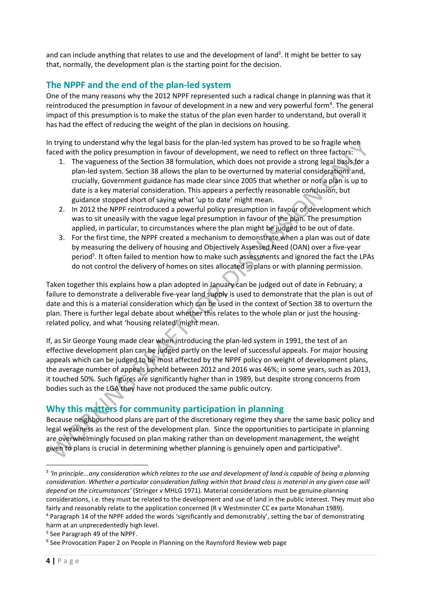and can include anything that relates to use and the development of land<sup>3</sup>. It might be better to say that, normally, the development plan is the starting point for the decision.

# **The NPPF and the end of the plan-led system**

One of the many reasons why the 2012 NPPF represented such a radical change in planning was that it reintroduced the presumption in favour of development in a new and very powerful form<sup>4</sup>. The general impact of this presumption is to make the status of the plan even harder to understand, but overall it has had the effect of reducing the weight of the plan in decisions on housing.

In trying to understand why the legal basis for the plan-led system has proved to be so fragile when faced with the policy presumption in favour of development, we need to reflect on three factors:

- 1. The vagueness of the Section 38 formulation, which does not provide a strong legal basis for a plan-led system. Section 38 allows the plan to be overturned by material considerations and, crucially, Government guidance has made clear since 2005 that whether or not a plan is up to date is a key material consideration. This appears a perfectly reasonable conclusion, but guidance stopped short of saying what 'up to date' might mean.
- 2. In 2012 the NPPF reintroduced a powerful policy presumption in favour of development which was to sit uneasily with the vague legal presumption in favour of the plan. The presumption applied, in particular, to circumstances where the plan might be judged to be out of date.
- 3. For the first time, the NPPF created a mechanism to demonstrate when a plan was out of date by measuring the delivery of housing and Objectively Assessed Need (OAN) over a five-year period<sup>5</sup>. It often failed to mention how to make such assessments and ignored the fact the LPAs do not control the delivery of homes on sites allocated in plans or with planning permission.

Taken together this explains how a plan adopted in January can be judged out of date in February; a failure to demonstrate a deliverable five-year land supply is used to demonstrate that the plan is out of date and this is a material consideration which can be used in the context of Section 38 to overturn the plan. There is further legal debate about whether this relates to the whole plan or just the housingrelated policy, and what 'housing related' might mean.

If, as Sir George Young made clear when introducing the plan-led system in 1991, the test of an effective development plan can be judged partly on the level of successful appeals. For major housing appeals which can be judged to be most affected by the NPPF policy on weight of development plans, the average number of appeals upheld between 2012 and 2016 was 46%; in some years, such as 2013, it touched 50%. Such figures are significantly higher than in 1989, but despite strong concerns from bodies such as the LGA they have not produced the same public outcry.

# **Why this matters for community participation in planning**

Because neighbourhood plans are part of the discretionary regime they share the same basic policy and legal weakness as the rest of the development plan. Since the opportunities to participate in planning are overwhelmingly focused on plan making rather than on development management, the weight given to plans is crucial in determining whether planning is genuinely open and participative<sup>6</sup>.

 $\ddot{\phantom{a}}$ 

<sup>&</sup>lt;sup>3</sup> 'In principle...any consideration which relates to the use and development of land is capable of being a planning *consideration. Whether a particular consideration falling within that broad class is material in any given case will depend on the circumstances'* (Stringer v MHLG 1971). Material considerations must be genuine planning considerations, i.e. they must be related to the development and use of land in the public interest. They must also fairly and reasonably relate to the application concerned (R v Westminster CC ex parte Monahan 1989). <sup>4</sup> Paragraph 14 of the NPPF added the words 'significantly and demonstrably', setting the bar of demonstrating

harm at an unprecedentedly high level.

<sup>5</sup> See Paragraph 49 of the NPPF.

<sup>&</sup>lt;sup>6</sup> See Provocation Paper 2 on People in Planning on the Raynsford Review web page